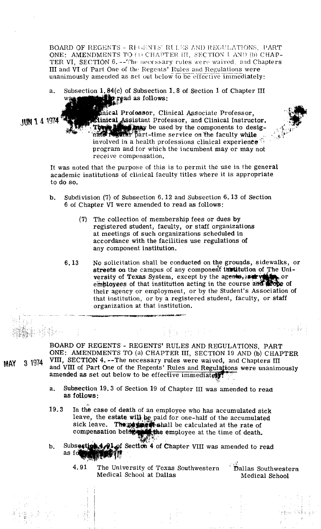BOARD OF REGENTS - REGENTS' RULES AND REGULATIONS, PART ONE: AMENDMENTS TO (1) CHAPTER III. SECTION I AND (b) CHAP-TER VI. SECTION 6. -- The necessary rules were waived, and Chapters III and VI of Part One of the Regents' Rules and Regulations were unanimously amended as set out below to be effective immediately:

a. Subsection 1.84(c) of Subsection 1.8 of Section 1 of Chapter III<br>was **also that it also read as follows:** 

 $1111141974$ 

inical Professor, Clinical Associate Professor, Slinical Assistant Professor, and Clinical Instructor. be used by the components to desig--time service on the faculty while  $\mathbb{R}^n$  is the service on the faculty while  $\mathbb{R}^n$ involved in a health professions clinical experience. program and for which the incumbent may or may not receive compensation.



- b. Subdivision (7) of Subsection **6.12** and Subsection **6.13** of Section **6** of Chapter **VI** were amended to read as follows:
	- (7) The collection of membership fees or dues by registered student, faculty, or staff organizations at meetings of such organizations scheduled in accordance with the facilities use regulations of any component institution.
	- **6.13** No solicitation shall be conducted on the groupds, sidewalks, or streets on the campus of any component institution of The University of Texas System, except by the agents,  $\ast \ast \ast \ast \ast$ , or employees of that institution acting in the course and scope of their agency or employment, or by the Student's Association of that institution, or by a registered student, faculty, or staff organization at that institution.

(重<sub>体</sub>の)地下の

BOARD OF REGENTS - REGENTS' RULES AND REGULATIONS, PART ONE: AMENDMENTS TO (a) CHAPTER 111, SECTION 19 AND (b) CHAPTER **MAY 3** 1974 VIII, SECTION 4. --The necessary rules were waived, and Chapters I11 and VIII of Part One of the Regents' Rules and Regulations were unanimously amended as set out below to be effective immediately?

- a. Subsection **19.3** of Section **19** of Chapter I11 was amended to read as follows:
- 19.3 In the case of death of an employee who has accumulated sick leave, the estate will be paid for one-half of the accumulated sick leave. The part shall be calculated at the rate of compensation being the employee at the time of death.
- b. Subsection  $4.91$  of Section 4 of Chapter VIII was amended to read as formally  $\frac{1}{4}$ .
	- 4.91 The University of Texas Southwestern <sup>i</sup> Dallas Southwestern Medical School at Dallas Medical School

 $\Omega(\{0,x,y\})$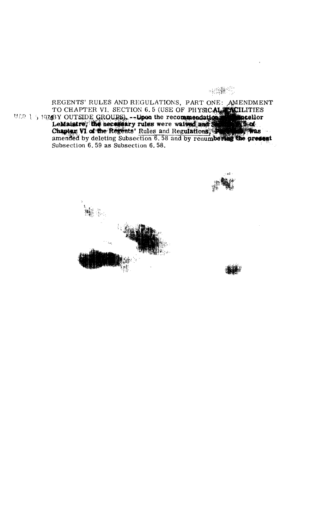# **SHIP 200**

REGENTS' RULES AND REGULATIONS, PART ONE: AMENDMENT TO CHAPTER VI. SECTION 6.5 (USE OF PHYSICAL FICILITIES<br>TO CHAPTER VI. SECTION 6.5 (USE OF PHYSICAL FICILITIES<br>LeMaistre, the necessary rules were walked and Secular<br>Chapter VI of the Regents' Rules and Regulations, Subsection 6.59 as Subsection *6.56.*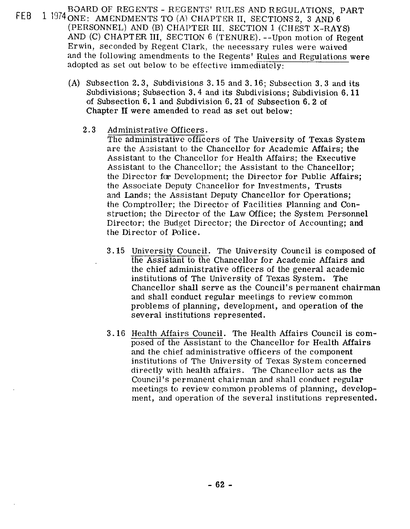- BOARD OF REGENTS REGENTS' RULES AND REGULATIONS, PART FEB 1 1974 ONE: AMENDMENTS TO (A) CHAPTER II, SECTIONS 2, 3 AND 6 (PERSONNEL) AND (B) CHAPTER III. SECTION **1** (CHEST X-RAYS) AND (C) CHAPTER 111, SECTION **6** (TENURE). --Upon motion of Regent Erwin, seconded by Regent Clark, the necessary rules were waived and the following amendments to the Regents' Rules and Regulations were adopted as set out below to be effective immediately:
	- (A) Subsection **2.3,** Subdivisions **3.15** and **3.16;** Subsection **3.3** and its Subdivisions; Subsection **3.4** and its Subdivisions; Subdivision **6.11**  of Subsection **6.1** and Subdivision **6.21** of Subsection **6.2** of Chapter **I1** were amended to read as set out below:

# **2.3** Administrative Officers.

The administrative officers of The University of Texas System are the Assistant to the Chancellor for Academic Affairs; the Assistant to the Chancellor for Health Affairs; the Executive Assistant to the Chancellor; the Assistant to the Chancellor; the Director for Development; the Director for Public Affairs; the Associate Deputy Chancellor for Investments, Trusts and Lands; the Assistant Deputy Chancellor for Operations; the Comptroller; the Director of Facilities Planning and Construction; the Director of the Law Office; the System Personnel Director; the Budget Director; the Director of Accounting; and the Director of Police.

- **3.15** University Council. The University Council is composed of the Assistant to the Chancellor for Academic Affairs and the chief administrative officers of the general academic institutions of The University of Texas System. The Chancellor shall serve as the Council's permanent chairman and shall conduct regular meetings to review common problems of planning, development, and operation of the several institutions represented.
- **3.16** Health Affairs Council. The Health Affairs Council is composed of the Assistant to the Chancellor for Health Affairs and the chief administrative officers of the component institutions of The University of Texas System concerned directly with health affairs. The Chancellor acts as the Council's permanent chairman and shall conduct regular meetings to review common problems of planning, development, and operation of the several institutions represented.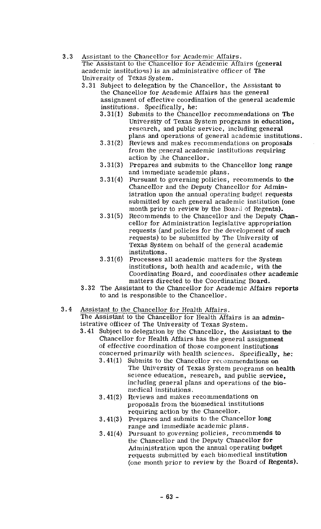3.3 Assistant to the Chancellor for Academic Affairs.

The Assistant to the Chancellor for Academic Affairs (general academic institutions) is an administrative officer of The University of Texas System.

- 3.31 Subject to delegation by the Chancellor, the Assistant to the Chancellor for Academic Affairs has the general assignment of effective coordination of the general academic institutions. Specifically, he:
	- 3.31(1) Submits to the Chancellor recommendations on The University of Texas System programs in education, research, and public service, including general plans and operations of general academic institutions.
	- $3.31(2)$  Reviews and makes recommendations on proposals from the general academic institutions requiring action by ihe Chancellor.
	- $3.31(3)$  Prepares and submits to the Chancellor long range and immediate academic plans.
	- 3.31(4) Pursuant to governing policies, recommends to the Chancellor and the Deputy Chancellor for Administration upon the annual operating budget requests submitted by each general academic institution (one month prior to review by the Board of Regents).
	- $3.31(5)$ Recommends to the Chancellor and the Deputy Chancellor for Administration legislative appropriation requests (and policies for the development of such requests) to be submitted by The University of 'Texas System on behalf of the general academic institutions.
	- $3.31(6)$  Processes all academic matters for the System institutions, both health and academic, with the Coordinating Board, and coordinates other academic matters directed to the Coordinating Board.
- 3.32 The Assistant to the Chancellor for Academic Affairs reports to and is responsible to the Chancellor.

# 3.4 Assistant to the Chancellor for Health Affairs.

The Assistant to the Chancellor for Health Affairs is an **admin**istrative officer of The University of Texas System.

- 3.41 Subject to delegation by the Chancellor, the Assistant to the Chancellor for Health Affairs has the general assignment of effective coordination of those component institutions concerned primarily with health sciences. Specifically, he:
	- 3.41(1) Submits to the Chancellor recommendations on The University of Texas System programs on health science education, research, and public service, including general plans and operations of the biomedical institutions.
	- 3.41(2) Reviews and makes recommendations on proposals from the biomedical institutions requiring action by the Chancellor.
	- 3.41(3) Prepares and submits to the Chancellor long range and immediate academic plans.
	- 3.41(4) Pursuant to governing policies, recommends to the Chancellor and the Deputy Chancellor for Administration upon the annual operating budget requests submitted by each biomedical institution (one month prior to review by the Board of Regents).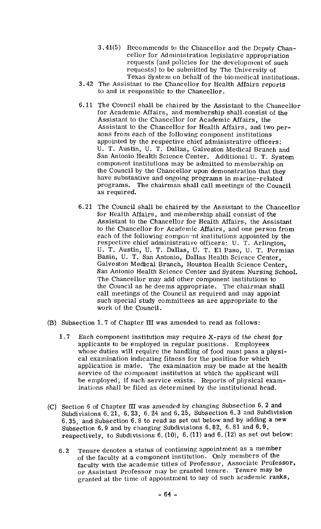- 3.41(5) Recommends to the Chancellor and the Deputy Chancellor for Administration legislative appropriation requests (and policies for the development of such requests) to be submitted by The University of Texas System on behalf of the biomedical institutions.
- 3.42 The Assistant to the Chancellor for Health Affairs reports to and is responsible to the Chancellor.
- 6.11 The Council shall be chaired by the Assistant to the Chancellor for Academic Affairs, and membership shall-consist of the Assistant to the Chancellor for Academic Affairs, the Assistant to the Chancellor for Health Affairs, and two persons from each of the following component institutions appointed by the respective chief administrative officers: U. T. Austin, U. T. Dallas, Galveston Medical Branch and San Antonio Health Science Center. Additional U. T. System component institutions may be admitted to membership on the Council by the Chancellor upon demonstration that they have substantive and ongoing programs in marine-related programs. The chairman shall call meetings of the Council as required.
- 6.21 The Council shall be chaired by the Assistant to the Chancellor for Health Affairs, and membership shall consist of the Assistant to the Chancellor for Health Affairs, the Assistant to the Chancellor for Academic Affairs, and one person from each of the following component institutions appointed by the respective chief administrative officers: U. T. Arlington, U. T. Austin, U. T. Dallas, U. T. El Paso, U. T. Permian Basin, U. T. San Antonio, Dallas Health Science Center, Galveston Medical Branch, Houston Health Science Center, San Antonio Health Science Center and System Nursing School. The Chancellor may add other component institutions to the Council as he deems appropriate. The chairman shall call meetings of the Council as required and may appoint such special study committees as are appropriate to the work of the Council.
- (B) Subsection 1.7 of Chapter **I11** was amended to read as follows:
	- **1.7** Each component institution may require X-rays of the chest for applicants to be employed in regular positions. Employees whose duties will require the handling of food must pass a physical examination indicating fitness for the position for which application is made. The examination may be made at the health service of the component institution at which the applicant will be employed, if such service exists. Reports of physical examinations shall be filed as determined by the institutional head.
- (C) Section *6* of Chapter **[I1** was amended by changing Subsection 6.2 and Subdivisions 6.21, 6.23, 6.24 and 6.25, Subsection 6.3 and Subdivision 6.35, and Subsection 6.8 to read as set out below and by adding a new Subsection 6.9 and by changing Subdivisions 6.82, 6.81 and 6.9, respectively, to Subdivisions  $6. (10)$ ,  $6. (11)$  and  $6. (12)$  as set out below:
	- 6.2 Tenure denotes a status of continuing appointment as a member of the faculty at a component institution. Only members of the faculty with the academic titles of Professor, Associate Professor, or Assistant Professor may be granted tenure. Tenure may be granted at the time of appointment to any of such academic ranks,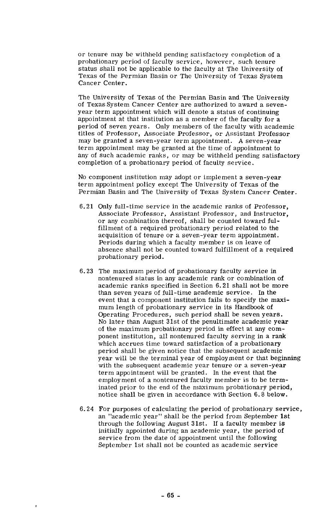or tenure may be withheld pending satisfactory completion of a probationary period of faculty service, however, such tenure status shall not be applicable to the faculty at The University of Texas of the Permian Basin or The University of Texas System Cancer Center.

The University of Texas of the Permian Basin and The University of Texas System Cancer Center are authorized to award a sevenyear term appointment which will denote a status of continuing appointment at that institution as a member of the faculty for a period of seven years. Only members of the faculty with academic titles of Professor, Associate Professor, or Assistant Professor may be granted a seven-year term appointment. A seven-year term appointment may be granted at the time of appointment to any of such academic ranks, or may be withheld pending satisfactory completion of a probationary period of faculty service.

No component institution may adopt or implement a seven-year term appointment policy except The University of Texas of the Permian Basin and The University of Texas System Cancer Center.

- 6.21 Only full-time service in the academic ranks of Professor, Associate Professor, Assistant Professor, and Instructor, or any combination thereof, shall be counted toward fulfillment of a required probationary period related to the acquisition of tenure or a seven-year term appointment. Periods during which a faculty member is on leave of absence shall not be counted toward fulfillment of a required probationary period.
- 6.23 The maximum period of probationary faculty service in nontenured status in any academic rank or combination of academic ranks specified in Section 6.21 shall not be more than seven years of full-time academic service. In the event that a component institution fails to specify the maximum length of probationary service in its Handbook of Operating Procedures, such period shall be seven years. No later than August 31st of the penultimate academic year of the maximum probationary period in effect at any component institution, all nontenured faculty serving in a rank which accrues time toward satisfaction of a probationary period shall be given notice that the subsequent academic year will be the terminal year of employment or that beginning with the subsequent academic year tenure or a seven-year term appointment will be granted. In the event that the employment of a nontenured faculty member is to be terminated prior to the end of the maximum probationary period, notice shall be given in accordance with Section 6.8 below.
- 6.24 For purposes of calculating the period of probationary service, an "academic year" shall be the period from September 1st through the following August 31st. If a faculty member is initially appointed during an academic year, the period of service from the date of appointment until the following September 1st shall not be counted as academic service

ł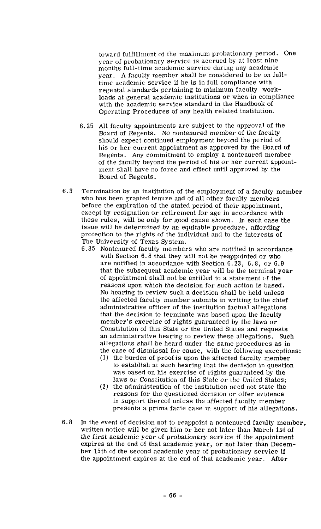toward fulfillment of the maximum probationary period. One year of probationary service is accrued by at least nine months full-time academic service during any academic year. A faculty member shall be considered to be on fulltime academic service if he is in full compliance with regental standards pertaining to minimum faculty workloads at general academic institutions or when in compliance with the academic service standard in the Handbook of Operating Procedures of any health related institution.

- 6.25 All faculty appointments are subject to the approval of the Board of Regents. No nontenured member of the faculty should expect continued employment beyond the period of his or her current appointment as approved by the Board of Regents. Any commitment to employ a nontenured member of the faculty beyond the period of his or her current appointment shall have no force and effect until approved by the Board of Regents.
- 6.3 Termination by an institution of the employment of a faculty member who has been granted tenure and of all other faculty members before the expiration of the stated period of their appointment, except by resignation or retirement for age in accordance with these rules, will be only for good cause shown. In each case the issue will be determined by an equitable procedure, affording protection to the rights of the individual and to the interests of The University of Texas System.
	- 6.35 Nontenured faculty members who are notified in accordance with Section 6.8 that they will not be reappointed or who are notified in accordance with Section 6.23, 6.8, or 6.9 that the subsequent academic year will be the terminal year of appointment shall not be entitled to a statement of the reasons upon which the decision for such action is based. No hearing to review such a decision shall be held unless the affected faculty member submits in writing tothe chief administrative officer of the institution factual allegations that the decision to terminate was based upon the faculty member's exercise of rights guaranteed by the laws or Constitution of this State or the United States and requests an administrative hearing to review these allegations. Such allegations shall be heard under the same procedures as in the case of dismissal for cause, with the following exceptions:
		- (1) the burden of proof is upon the affected faculty member to establish at such hearing that the decision in question was based on his exercise of rights guaranteed by the laws or Constitution of this State or the United States;
		- $(2)$  the administration of the institution need not state the reasons for the questioned decision or offer evidence in support thereof unless the affected faculty member presents a prima facie case in support of his allegations.
- 6.8 In the event of decision not to reappoint a nontenured faculty member, written notice will be given him or her not later than March 1st of the first academic year of probationary service if the appointment expires at the end of that academic year, or not later than December 15th of the second academic year of probationary service if the appointment expires at the end of that academic year. After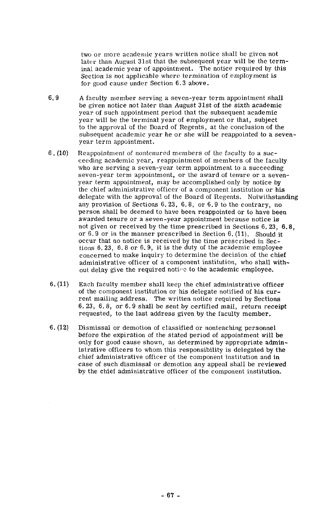two or more academic years written notice shall be given not later than August 31st that the subsequent year will be the terminal academic year of appointment. The notice required by this Section is not applicable where termination of employment is for good cause under Section 6.3 above.

- **6.9** A faculty member serving a seven-year term appointment shall be given notice not later than August 31st of the sixth academic year of such appointtnent period that the subsequent academic year will be the terminal year of employment or that, subject to the approval of the Board of Regents, at the conclusion of the subsequent academic year he or she will be reappointed to a sevenyear term appointment.
- 6. (10) Reappointment of nontenured members of the faculty to a succeeding academic year, reappointment of members of the faculty who are serving a seven-year term appointment to a succeeding seven-year term appointment, or the award of tenure or a sevenyear term appointment, may be accomplished only by notice by the chief administrative officer of a component institution or his delegate with the approval of the Board of Regents. Notwithstanding any provision of Sections 6.23, 6.8, or 6.9 to the contrary, no person shall be deemed to have been reappointed or to have been awarded tenure or a seven-year appointment because notice is not given or received by the time prescribed in Sections 6.23, 6.8, or 6.9 or in the manner prescribed in Section 6. (11). Should it occur that no notice is received **by** the time prescribed in Sections 6. **23,** 6.8 or 6.9, it is the duty of the academic employee concerned to make inquiry to determine the decision of the chief administrative officer of a component institution, who shall without delay give the required notine to the academic employee.
- $6. (11)$  Each faculty member shall keep the chief administrative officer of the component institution or his delegate notified of his current mailing address. The written notice required by Sections 6. 23, 6.8, or 6.9 shall be sent by certified mail, return receipt requested, to the last address given by the faculty member.
- 6. (12) Dismissal or demotion of classified or nonteaching personnel before the expiration of the stated period of appointment will be only for good cause shown, as determined by appropriate administrative officers to whom this responsibility is delegated by the chief administrative officer of the component institution and in case of such dismissal or demotion any appeal shall be reviewed by the chief administrative officer of the component institution.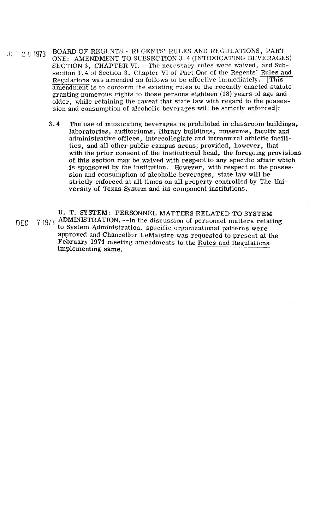- $\sqrt{31}$   $\sqrt{25}$  1973 BOARD OF' REGENTS - REGENTS' RULES AND REGULATIONS, PART ONE: AMENDMENT TO SUBSECTION 3.4 (INTOXICATING BEVERAGES) SECTION *3,* CHAPTER VJ. --The necessary rules were waived, and Subsection **3.4** of Section **3,** Chapter VI of Part One of the Regents' Rules and Regulations was amended as follows to be effective immediately.  $\overline{\text{This}}$ amendment is to conform the existing rules to the recently enacted statute granting numerous rights to those persons eighteen **(18)** years of age and older, while retaining the caveat that state law with regard to the possession and consumption of alcoholic beverages will be strictly enforced]:
	- **3.4** The use of intoxicating beverages is prohibited in classroom buildings, laboratories, auditoriums, library buildings, museums, faculty and administrative offices, intercollegiate and intramural athletic facilities, and all other public campus areas; provided, however, that with the prior consent of the institutional head, the foregoing provisions of this section may be waived with respect to any specific affair which is sponsored by the institution. However, with respect to the possession and consumption of alcoholic beverages, state law will be strictly enforced at all times on all property controlled by The University of Texas System and its component institutions.

U. T. SYSTEM: PERSONNEL MATTERS RELATED TO SYSTEM DEC 7 1973 ADMINISTRATION. --In the discussion of personnel matters relating to System Administration, specific organizational patterns were approved and Chancellor LeMaistre was requested to present at the February **1974** meeting amendments to the Rules and Regulations implementing same.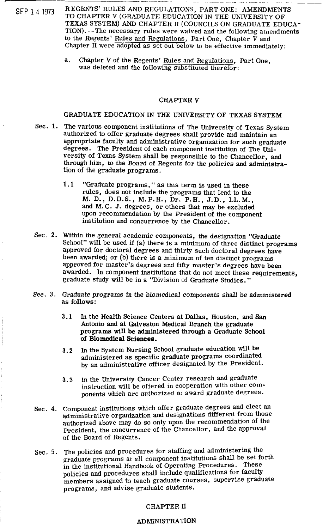- , --.-A- - -- -- . -- SEP 1 4 1973 REGENTS' RULES AND REGULATIONS, PART ONE: AMENDMENTS<br>TO CHAPTER V (GRADUATE EDUCATION IN THE UNIVERSITY OF TEXAS SYSTEM) AND CHAPTER I1 (COUNCILS ON GRADUATE EDUCA-TION). --The necessary rules were waived and the following amendments to the Regents' Rules and Regulations, Part One, Chapter V and Chapter **I1** were adopted as set out below to be effective immediately:
	- a. Chapter V of the Regents' Rules and Regulations, Part One, was deleted and the following substituted therefor:

## CHAPTER V

GRADUATE EDUCATION IN THE UNIVERSITY OF TEXAS SYSTEM

- Sec. 1. The various component institutions of The University of Texas System authorized to offer graduate degrees shall provide and maintain an appropriate faculty and administrative organization for such graduate degrees. The President of each component institution of The University of Texas System shall be responsible to the Chancellor, and through him, to the Board of Regents for the policies and administration of the graduate programs.
	- **1.1**  "Graduate programs," as this term is used in these rules, does not include the programs that lead to the M. D., D.D.S., M.P.H., Dr. P.H., J.D., LL.M., and M.C. J. degrees, or others that may be excluded upon recommendation by the President of the component institution and concurrence by the Chancellor.
- Sec. 2. Within the general academic components, the designation "Graduate School" will be used if (a) there is a minimum of three distinct programs approved for doctoral degrees and thirty such doctoral degrees have been awarded; or (b) there is a minimum of ten distinct programs approved for master's degrees and fifty master's degrees have been awarded. In component institutions that do not meet these requirements, graduate study will be in a "Division of Graduate Studies."
- See. 3. Graduate programs in the biomedical components shall be administered **as** follows:
	- **3.1** In the Health Science Centers at Dallas, Houston, and San Antonio and at Galveston Medical Branch the graduate programs will be administered through a Graduate School of Biomedical Sciences.
	- **3.2** In the System Nursing School graduate education will be administered as specific graduate programs coordinated by an administrative officer designated by the President.
	- **3.3** In the University Cancer Center research and graduate instruction will be offered in cooperation with other components which are authorized to award graduate degrees.
- Sec. **4.** Component institutions which offer graduate degrees and elect an administrative organization and designations different from those authorized above may do so only upon the recommendation of the President, the concurrence of the Chancellor, and the approval of the Board of Regents.
- Sec. 5. The policies and procedures for staffing and administering the graduate programs at all component institutions shall be set forth in the institutional Handbook of Operating Procedures. These policies and procedures shall include qualifications for faculty members assigned to teach graduate courses, supervise graduate programs, and advise graduate students.

# CHAPTER **I1**

#### **ADMINISTRATION**